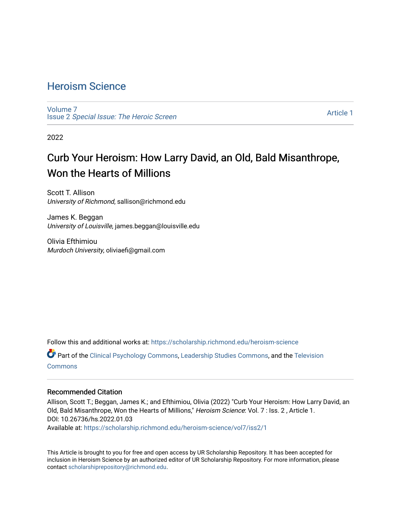## [Heroism Science](https://scholarship.richmond.edu/heroism-science)

[Volume 7](https://scholarship.richmond.edu/heroism-science/vol7) Issue 2 [Special Issue: The Heroic Screen](https://scholarship.richmond.edu/heroism-science/vol7/iss2)

[Article 1](https://scholarship.richmond.edu/heroism-science/vol7/iss2/1) 

2022

# Curb Your Heroism: How Larry David, an Old, Bald Misanthrope, Won the Hearts of Millions

Scott T. Allison University of Richmond, sallison@richmond.edu

James K. Beggan University of Louisville, james.beggan@louisville.edu

Olivia Efthimiou Murdoch University, oliviaefi@gmail.com

Follow this and additional works at: [https://scholarship.richmond.edu/heroism-science](https://scholarship.richmond.edu/heroism-science?utm_source=scholarship.richmond.edu%2Fheroism-science%2Fvol7%2Fiss2%2F1&utm_medium=PDF&utm_campaign=PDFCoverPages) 

Part of the [Clinical Psychology Commons,](http://network.bepress.com/hgg/discipline/406?utm_source=scholarship.richmond.edu%2Fheroism-science%2Fvol7%2Fiss2%2F1&utm_medium=PDF&utm_campaign=PDFCoverPages) [Leadership Studies Commons,](http://network.bepress.com/hgg/discipline/1250?utm_source=scholarship.richmond.edu%2Fheroism-science%2Fvol7%2Fiss2%2F1&utm_medium=PDF&utm_campaign=PDFCoverPages) and the [Television](http://network.bepress.com/hgg/discipline/1143?utm_source=scholarship.richmond.edu%2Fheroism-science%2Fvol7%2Fiss2%2F1&utm_medium=PDF&utm_campaign=PDFCoverPages) [Commons](http://network.bepress.com/hgg/discipline/1143?utm_source=scholarship.richmond.edu%2Fheroism-science%2Fvol7%2Fiss2%2F1&utm_medium=PDF&utm_campaign=PDFCoverPages)

#### Recommended Citation

Allison, Scott T.; Beggan, James K.; and Efthimiou, Olivia (2022) "Curb Your Heroism: How Larry David, an Old, Bald Misanthrope, Won the Hearts of Millions," Heroism Science: Vol. 7 : Iss. 2, Article 1. DOI: 10.26736/hs.2022.01.03

Available at: [https://scholarship.richmond.edu/heroism-science/vol7/iss2/1](https://scholarship.richmond.edu/heroism-science/vol7/iss2/1?utm_source=scholarship.richmond.edu%2Fheroism-science%2Fvol7%2Fiss2%2F1&utm_medium=PDF&utm_campaign=PDFCoverPages)

This Article is brought to you for free and open access by UR Scholarship Repository. It has been accepted for inclusion in Heroism Science by an authorized editor of UR Scholarship Repository. For more information, please contact [scholarshiprepository@richmond.edu](mailto:scholarshiprepository@richmond.edu).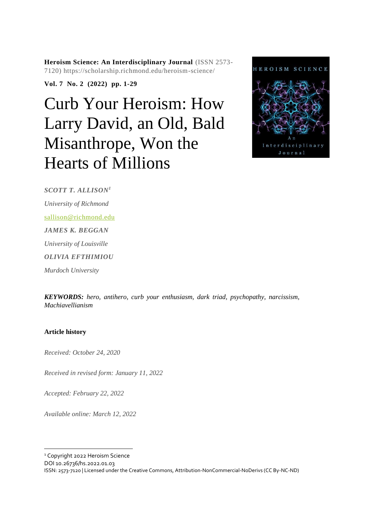**Heroism Science: An Interdisciplinary Journal** (ISSN 2573- 7120) https://scholarship.richmond.edu/heroism-science/

**Vol. 7 No. 2 (2022) pp. 1-29**

# Curb Your Heroism: How Larry David, an Old, Bald Misanthrope, Won the Hearts of Millions



*SCOTT T. ALLISON 1 University of Richmond* [sallison@richmond.edu](mailto:sallison@richmond.edu) *JAMES K. BEGGAN University of Louisville OLIVIA EFTHIMIOU Murdoch University*

*KEYWORDS: hero, antihero, curb your enthusiasm, dark triad, psychopathy, narcissism, Machiavellianism*

#### **Article history**

*Received: October 24, 2020*

*Received in revised form: January 11, 2022*

*Accepted: February 22, 2022*

*Available online: March 12, 2022*

<sup>1</sup> Copyright 2022 Heroism Science

DOI 10.26736/hs.2022.01.03

ISSN: 2573-7120 | Licensed under the Creative Commons, Attribution-NonCommercial-NoDerivs (CC By-NC-ND)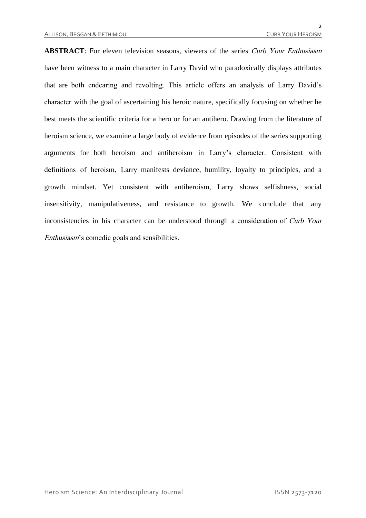**ABSTRACT**: For eleven television seasons, viewers of the series *Curb Your Enthusiasm* have been witness to a main character in Larry David who paradoxically displays attributes that are both endearing and revolting. This article offers an analysis of Larry David's character with the goal of ascertaining his heroic nature, specifically focusing on whether he best meets the scientific criteria for a hero or for an antihero. Drawing from the literature of heroism science, we examine a large body of evidence from episodes of the series supporting arguments for both heroism and antiheroism in Larry's character. Consistent with definitions of heroism, Larry manifests deviance, humility, loyalty to principles, and a growth mindset. Yet consistent with antiheroism, Larry shows selfishness, social insensitivity, manipulativeness, and resistance to growth. We conclude that any inconsistencies in his character can be understood through a consideration of Curb Your Enthusiasm's comedic goals and sensibilities.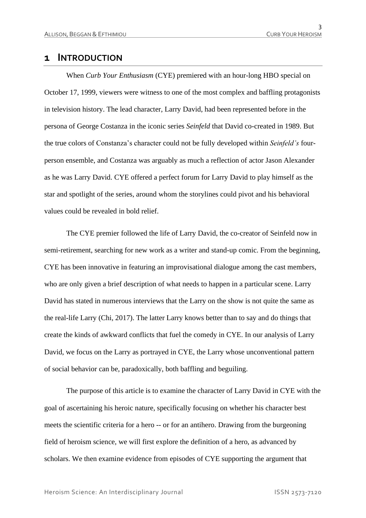## **1 INTRODUCTION**

When *Curb Your Enthusiasm* (CYE) premiered with an hour-long HBO special on October 17, 1999, viewers were witness to one of the most complex and baffling protagonists in television history. The lead character, Larry David, had been represented before in the persona of George Costanza in the iconic series *Seinfeld* that David co-created in 1989. But the true colors of Constanza's character could not be fully developed within *Seinfeld's* fourperson ensemble, and Costanza was arguably as much a reflection of actor Jason Alexander as he was Larry David. CYE offered a perfect forum for Larry David to play himself as the star and spotlight of the series, around whom the storylines could pivot and his behavioral values could be revealed in bold relief.

The CYE premier followed the life of Larry David, the co-creator of Seinfeld now in semi-retirement, searching for new work as a writer and stand-up comic. From the beginning, CYE has been innovative in featuring an improvisational dialogue among the cast members, who are only given a brief description of what needs to happen in a particular scene. Larry David has stated in numerous interviews that the Larry on the show is not quite the same as the real-life Larry (Chi, 2017). The latter Larry knows better than to say and do things that create the kinds of awkward conflicts that fuel the comedy in CYE. In our analysis of Larry David, we focus on the Larry as portrayed in CYE, the Larry whose unconventional pattern of social behavior can be, paradoxically, both baffling and beguiling.

The purpose of this article is to examine the character of Larry David in CYE with the goal of ascertaining his heroic nature, specifically focusing on whether his character best meets the scientific criteria for a hero -- or for an antihero. Drawing from the burgeoning field of heroism science, we will first explore the definition of a hero, as advanced by scholars. We then examine evidence from episodes of CYE supporting the argument that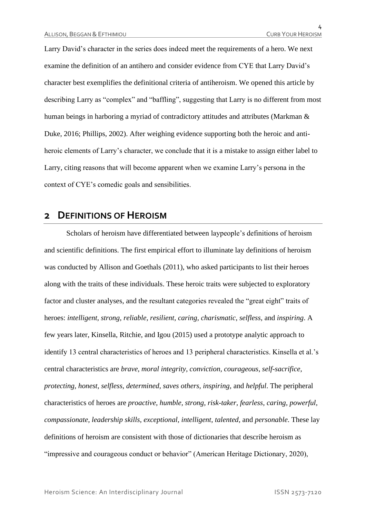Larry David's character in the series does indeed meet the requirements of a hero. We next examine the definition of an antihero and consider evidence from CYE that Larry David's character best exemplifies the definitional criteria of antiheroism. We opened this article by describing Larry as "complex" and "baffling", suggesting that Larry is no different from most human beings in harboring a myriad of contradictory attitudes and attributes (Markman & Duke, 2016; Phillips, 2002). After weighing evidence supporting both the heroic and antiheroic elements of Larry's character, we conclude that it is a mistake to assign either label to Larry, citing reasons that will become apparent when we examine Larry's persona in the context of CYE's comedic goals and sensibilities.

## **2 DEFINITIONS OF HEROISM**

Scholars of heroism have differentiated between laypeople's definitions of heroism and scientific definitions. The first empirical effort to illuminate lay definitions of heroism was conducted by Allison and Goethals (2011), who asked participants to list their heroes along with the traits of these individuals. These heroic traits were subjected to exploratory factor and cluster analyses, and the resultant categories revealed the "great eight" traits of heroes: *intelligent, strong, reliable, resilient, caring, charismatic, selfless,* and *inspiring*. A few years later, Kinsella, Ritchie, and Igou (2015) used a prototype analytic approach to identify 13 central characteristics of heroes and 13 peripheral characteristics. Kinsella et al.'s central characteristics are *brave, moral integrity, conviction, courageous, self-sacrifice, protecting, honest, selfless, determined, saves others, inspiring,* and *helpful*. The peripheral characteristics of heroes are *proactive, humble, strong, risk-taker, fearless, caring, powerful, compassionate, leadership skills, exceptional, intelligent, talented,* and *personable*. These lay definitions of heroism are consistent with those of dictionaries that describe heroism as "impressive and courageous conduct or behavior" (American Heritage Dictionary, 2020),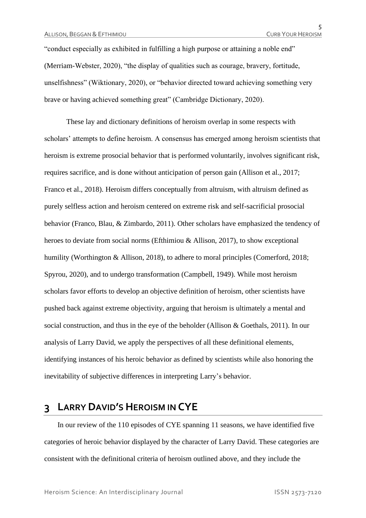"conduct especially as exhibited in fulfilling a high purpose or attaining a noble end" (Merriam-Webster, 2020), "the display of qualities such as courage, bravery, fortitude, unselfishness" (Wiktionary, 2020), or "behavior directed toward achieving something very brave or having achieved something great" (Cambridge Dictionary, 2020).

These lay and dictionary definitions of heroism overlap in some respects with scholars' attempts to define heroism. A consensus has emerged among heroism scientists that heroism is extreme prosocial behavior that is performed voluntarily, involves significant risk, requires sacrifice, and is done without anticipation of person gain (Allison et al., 2017; Franco et al., 2018). Heroism differs conceptually from altruism, with altruism defined as purely selfless action and heroism centered on extreme risk and self-sacrificial prosocial behavior (Franco, Blau, & Zimbardo, 2011). Other scholars have emphasized the tendency of heroes to deviate from social norms (Efthimiou & Allison, 2017), to show exceptional humility (Worthington & Allison, 2018), to adhere to moral principles (Comerford, 2018; Spyrou, 2020), and to undergo transformation (Campbell, 1949). While most heroism scholars favor efforts to develop an objective definition of heroism, other scientists have pushed back against extreme objectivity, arguing that heroism is ultimately a mental and social construction, and thus in the eye of the beholder (Allison & Goethals, 2011). In our analysis of Larry David, we apply the perspectives of all these definitional elements, identifying instances of his heroic behavior as defined by scientists while also honoring the inevitability of subjective differences in interpreting Larry's behavior.

## **3 LARRY DAVID'S HEROISM IN CYE**

In our review of the 110 episodes of CYE spanning 11 seasons, we have identified five categories of heroic behavior displayed by the character of Larry David. These categories are consistent with the definitional criteria of heroism outlined above, and they include the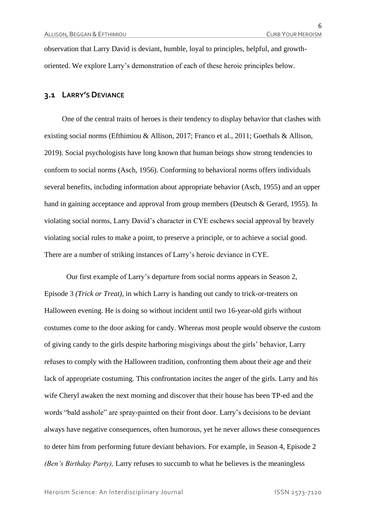observation that Larry David is deviant, humble, loyal to principles, helpful, and growthoriented. We explore Larry's demonstration of each of these heroic principles below.

#### **3.1 LARRY'S DEVIANCE**

One of the central traits of heroes is their tendency to display behavior that clashes with existing social norms (Efthimiou & Allison, 2017; Franco et al., 2011; Goethals & Allison, 2019). Social psychologists have long known that human beings show strong tendencies to conform to social norms (Asch, 1956). Conforming to behavioral norms offers individuals several benefits, including information about appropriate behavior (Asch, 1955) and an upper hand in gaining acceptance and approval from group members (Deutsch & Gerard, 1955). In violating social norms, Larry David's character in CYE eschews social approval by bravely violating social rules to make a point, to preserve a principle, or to achieve a social good. There are a number of striking instances of Larry's heroic deviance in CYE.

Our first example of Larry's departure from social norms appears in Season 2, Episode 3 *(Trick or Treat),* in which Larry is handing out candy to trick-or-treaters on Halloween evening. He is doing so without incident until two 16-year-old girls without costumes come to the door asking for candy. Whereas most people would observe the custom of giving candy to the girls despite harboring misgivings about the girls' behavior, Larry refuses to comply with the Halloween tradition, confronting them about their age and their lack of appropriate costuming. This confrontation incites the anger of the girls. Larry and his wife Cheryl awaken the next morning and discover that their house has been TP-ed and the words "bald asshole" are spray-painted on their front door. Larry's decisions to be deviant always have negative consequences, often humorous, yet he never allows these consequences to deter him from performing future deviant behaviors. For example, in Season 4, Episode 2 *(Ben's Birthday Party),* Larry refuses to succumb to what he believes is the meaningless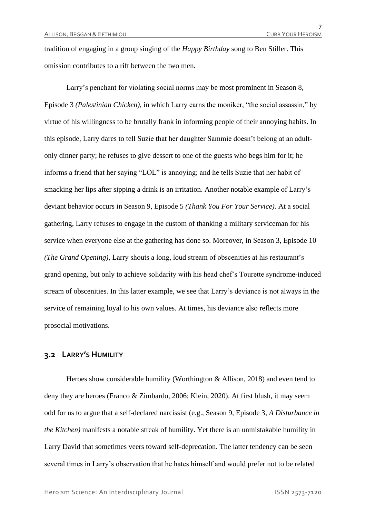tradition of engaging in a group singing of the *Happy Birthday* song to Ben Stiller. This omission contributes to a rift between the two men*.*

Larry's penchant for violating social norms may be most prominent in Season 8, Episode 3 *(Palestinian Chicken),* in which Larry earns the moniker, "the social assassin," by virtue of his willingness to be brutally frank in informing people of their annoying habits. In this episode, Larry dares to tell Suzie that her daughter Sammie doesn't belong at an adultonly dinner party; he refuses to give dessert to one of the guests who begs him for it; he informs a friend that her saying "LOL" is annoying; and he tells Suzie that her habit of smacking her lips after sipping a drink is an irritation. Another notable example of Larry's deviant behavior occurs in Season 9, Episode 5 *(Thank You For Your Service).* At a social gathering, Larry refuses to engage in the custom of thanking a military serviceman for his service when everyone else at the gathering has done so. Moreover, in Season 3, Episode 10 *(The Grand Opening),* Larry shouts a long, loud stream of obscenities at his restaurant's grand opening, but only to achieve solidarity with his head chef's Tourette syndrome-induced stream of obscenities. In this latter example, we see that Larry's deviance is not always in the service of remaining loyal to his own values. At times, his deviance also reflects more prosocial motivations.

#### **3.2 LARRY'S HUMILITY**

Heroes show considerable humility (Worthington & Allison, 2018) and even tend to deny they are heroes (Franco & Zimbardo, 2006; Klein, 2020). At first blush, it may seem odd for us to argue that a self-declared narcissist (e.g., Season 9, Episode 3, *A Disturbance in the Kitchen)* manifests a notable streak of humility. Yet there is an unmistakable humility in Larry David that sometimes veers toward self-deprecation. The latter tendency can be seen several times in Larry's observation that he hates himself and would prefer not to be related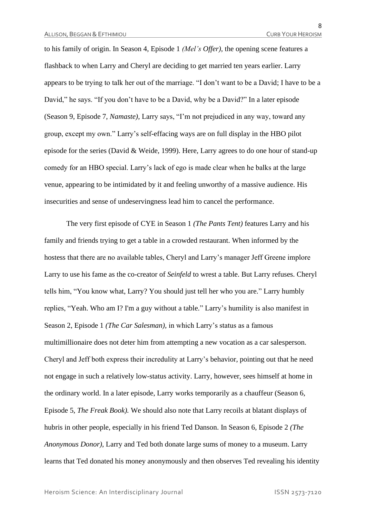to his family of origin. In Season 4, Episode 1 *(Mel's Offer),* the opening scene features a flashback to when Larry and Cheryl are deciding to get married ten years earlier. Larry appears to be trying to talk her out of the marriage. "I don't want to be a David; I have to be a David," he says. "If you don't have to be a David, why be a David?" In a later episode (Season 9, Episode 7, *Namaste),* Larry says, "I'm not prejudiced in any way, toward any group, except my own." Larry's self-effacing ways are on full display in the HBO pilot episode for the series (David & Weide, 1999). Here, Larry agrees to do one hour of stand-up comedy for an HBO special. Larry's lack of ego is made clear when he balks at the large venue, appearing to be intimidated by it and feeling unworthy of a massive audience. His insecurities and sense of undeservingness lead him to cancel the performance.

The very first episode of CYE in Season 1 *(The Pants Tent)* features Larry and his family and friends trying to get a table in a crowded restaurant. When informed by the hostess that there are no available tables, Cheryl and Larry's manager Jeff Greene implore Larry to use his fame as the co-creator of *Seinfeld* to wrest a table. But Larry refuses. Cheryl tells him, "You know what, Larry? You should just tell her who you are." Larry humbly replies, "Yeah. Who am I? I'm a guy without a table." Larry's humility is also manifest in Season 2, Episode 1 *(The Car Salesman),* in which Larry's status as a famous multimillionaire does not deter him from attempting a new vocation as a car salesperson. Cheryl and Jeff both express their incredulity at Larry's behavior, pointing out that he need not engage in such a relatively low-status activity. Larry, however, sees himself at home in the ordinary world. In a later episode, Larry works temporarily as a chauffeur (Season 6, Episode 5, *The Freak Book).* We should also note that Larry recoils at blatant displays of hubris in other people, especially in his friend Ted Danson. In Season 6, Episode 2 *(The Anonymous Donor)*, Larry and Ted both donate large sums of money to a museum. Larry learns that Ted donated his money anonymously and then observes Ted revealing his identity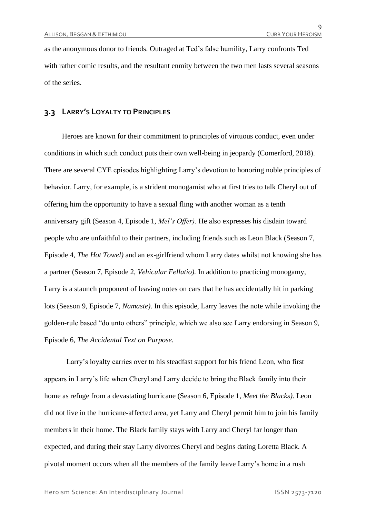as the anonymous donor to friends. Outraged at Ted's false humility, Larry confronts Ted with rather comic results, and the resultant enmity between the two men lasts several seasons of the series.

#### **3.3 LARRY'S LOYALTY TO PRINCIPLES**

Heroes are known for their commitment to principles of virtuous conduct, even under conditions in which such conduct puts their own well-being in jeopardy (Comerford, 2018). There are several CYE episodes highlighting Larry's devotion to honoring noble principles of behavior. Larry, for example, is a strident monogamist who at first tries to talk Cheryl out of offering him the opportunity to have a sexual fling with another woman as a tenth anniversary gift (Season 4, Episode 1, *Mel's Offer).* He also expresses his disdain toward people who are unfaithful to their partners, including friends such as Leon Black (Season 7, Episode 4, *The Hot Towel)* and an ex-girlfriend whom Larry dates whilst not knowing she has a partner (Season 7, Episode 2, *Vehicular Fellatio).* In addition to practicing monogamy, Larry is a staunch proponent of leaving notes on cars that he has accidentally hit in parking lots (Season 9, Episode 7, *Namaste)*. In this episode, Larry leaves the note while invoking the golden-rule based "do unto others" principle, which we also see Larry endorsing in Season 9, Episode 6, *The Accidental Text on Purpose.*

Larry's loyalty carries over to his steadfast support for his friend Leon, who first appears in Larry's life when Cheryl and Larry decide to bring the Black family into their home as refuge from a devastating hurricane (Season 6, Episode 1, *Meet the Blacks).* Leon did not live in the hurricane-affected area, yet Larry and Cheryl permit him to join his family members in their home. The Black family stays with Larry and Cheryl far longer than expected, and during their stay Larry divorces Cheryl and begins dating Loretta Black. A pivotal moment occurs when all the members of the family leave Larry's home in a rush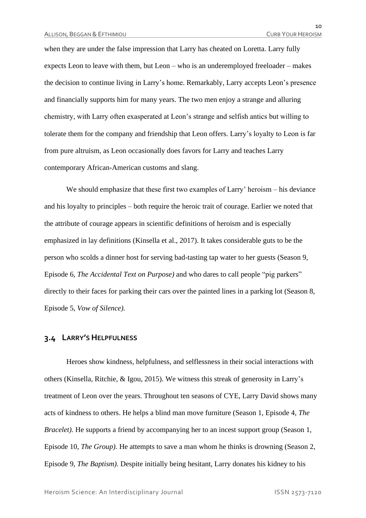when they are under the false impression that Larry has cheated on Loretta. Larry fully expects Leon to leave with them, but Leon – who is an underemployed freeloader – makes the decision to continue living in Larry's home. Remarkably, Larry accepts Leon's presence and financially supports him for many years. The two men enjoy a strange and alluring chemistry, with Larry often exasperated at Leon's strange and selfish antics but willing to tolerate them for the company and friendship that Leon offers. Larry's loyalty to Leon is far from pure altruism, as Leon occasionally does favors for Larry and teaches Larry contemporary African-American customs and slang.

We should emphasize that these first two examples of Larry' heroism – his deviance and his loyalty to principles – both require the heroic trait of courage. Earlier we noted that the attribute of courage appears in scientific definitions of heroism and is especially emphasized in lay definitions (Kinsella et al., 2017). It takes considerable guts to be the person who scolds a dinner host for serving bad-tasting tap water to her guests (Season 9, Episode 6, *The Accidental Text on Purpose)* and who dares to call people "pig parkers" directly to their faces for parking their cars over the painted lines in a parking lot (Season 8, Episode 5, *Vow of Silence).*

#### **3.4 LARRY'S HELPFULNESS**

Heroes show kindness, helpfulness, and selflessness in their social interactions with others (Kinsella, Ritchie, & Igou, 2015). We witness this streak of generosity in Larry's treatment of Leon over the years. Throughout ten seasons of CYE, Larry David shows many acts of kindness to others. He helps a blind man move furniture (Season 1, Episode 4, *The Bracelet*). He supports a friend by accompanying her to an incest support group (Season 1, Episode 10, *The Group).* He attempts to save a man whom he thinks is drowning (Season 2, Episode 9, *The Baptism).* Despite initially being hesitant, Larry donates his kidney to his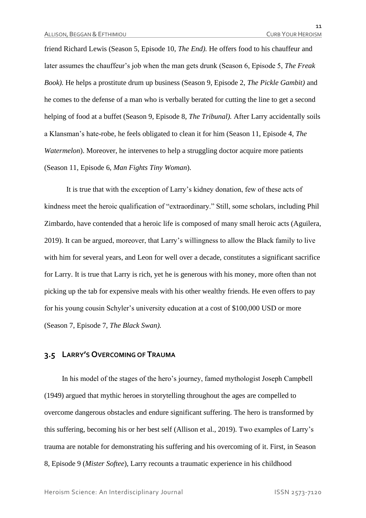friend Richard Lewis (Season 5, Episode 10, *The End).* He offers food to his chauffeur and later assumes the chauffeur's job when the man gets drunk (Season 6, Episode 5, *The Freak Book).* He helps a prostitute drum up business (Season 9, Episode 2, *The Pickle Gambit)* and he comes to the defense of a man who is verbally berated for cutting the line to get a second helping of food at a buffet (Season 9, Episode 8, *The Tribunal).* After Larry accidentally soils a Klansman's hate-robe, he feels obligated to clean it for him (Season 11, Episode 4, *The Watermelon*). Moreover, he intervenes to help a struggling doctor acquire more patients (Season 11, Episode 6, *Man Fights Tiny Woman*).

It is true that with the exception of Larry's kidney donation, few of these acts of kindness meet the heroic qualification of "extraordinary." Still, some scholars, including Phil Zimbardo, have contended that a heroic life is composed of many small heroic acts (Aguilera, 2019). It can be argued, moreover, that Larry's willingness to allow the Black family to live with him for several years, and Leon for well over a decade, constitutes a significant sacrifice for Larry. It is true that Larry is rich, yet he is generous with his money, more often than not picking up the tab for expensive meals with his other wealthy friends. He even offers to pay for his young cousin Schyler's university education at a cost of \$100,000 USD or more (Season 7, Episode 7, *The Black Swan).*

#### **3.5 LARRY'S OVERCOMING OF TRAUMA**

In his model of the stages of the hero's journey, famed mythologist Joseph Campbell (1949) argued that mythic heroes in storytelling throughout the ages are compelled to overcome dangerous obstacles and endure significant suffering. The hero is transformed by this suffering, becoming his or her best self (Allison et al., 2019). Two examples of Larry's trauma are notable for demonstrating his suffering and his overcoming of it. First, in Season 8, Episode 9 (*Mister Softee*), Larry recounts a traumatic experience in his childhood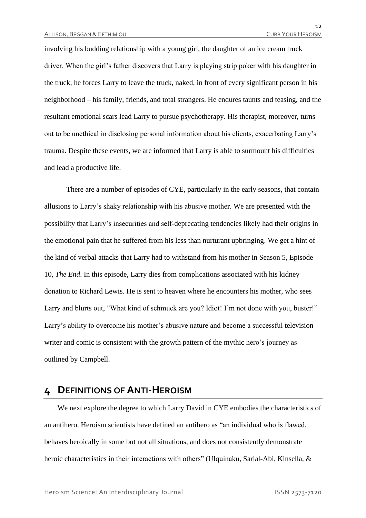involving his budding relationship with a young girl, the daughter of an ice cream truck driver. When the girl's father discovers that Larry is playing strip poker with his daughter in the truck, he forces Larry to leave the truck, naked, in front of every significant person in his neighborhood – his family, friends, and total strangers. He endures taunts and teasing, and the resultant emotional scars lead Larry to pursue psychotherapy. His therapist, moreover, turns out to be unethical in disclosing personal information about his clients, exacerbating Larry's trauma. Despite these events, we are informed that Larry is able to surmount his difficulties and lead a productive life.

There are a number of episodes of CYE, particularly in the early seasons, that contain allusions to Larry's shaky relationship with his abusive mother. We are presented with the possibility that Larry's insecurities and self-deprecating tendencies likely had their origins in the emotional pain that he suffered from his less than nurturant upbringing. We get a hint of the kind of verbal attacks that Larry had to withstand from his mother in Season 5, Episode 10, *The End*. In this episode, Larry dies from complications associated with his kidney donation to Richard Lewis. He is sent to heaven where he encounters his mother, who sees Larry and blurts out, "What kind of schmuck are you? Idiot! I'm not done with you, buster!" Larry's ability to overcome his mother's abusive nature and become a successful television writer and comic is consistent with the growth pattern of the mythic hero's journey as outlined by Campbell.

## **4 DEFINITIONS OF ANTI-HEROISM**

We next explore the degree to which Larry David in CYE embodies the characteristics of an antihero. Heroism scientists have defined an antihero as "an individual who is flawed, behaves heroically in some but not all situations, and does not consistently demonstrate heroic characteristics in their interactions with others" (Ulquinaku, Sarial-Abi, Kinsella, &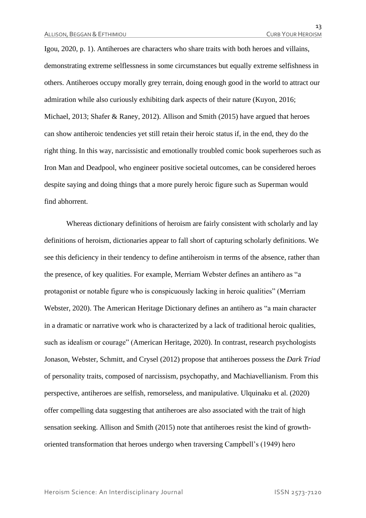Igou, 2020, p. 1). Antiheroes are characters who share traits with both heroes and villains, demonstrating extreme selflessness in some circumstances but equally extreme selfishness in others. Antiheroes occupy morally grey terrain, doing enough good in the world to attract our admiration while also curiously exhibiting dark aspects of their nature (Kuyon, 2016; Michael, 2013; Shafer & Raney, 2012). Allison and Smith (2015) have argued that heroes can show antiheroic tendencies yet still retain their heroic status if, in the end, they do the right thing. In this way, narcissistic and emotionally troubled comic book superheroes such as Iron Man and Deadpool, who engineer positive societal outcomes, can be considered heroes despite saying and doing things that a more purely heroic figure such as Superman would find abhorrent.

Whereas dictionary definitions of heroism are fairly consistent with scholarly and lay definitions of heroism, dictionaries appear to fall short of capturing scholarly definitions. We see this deficiency in their tendency to define antiheroism in terms of the absence, rather than the presence, of key qualities. For example, Merriam Webster defines an antihero as "a protagonist or notable figure who is conspicuously lacking in heroic qualities" (Merriam Webster, 2020). The American Heritage Dictionary defines an antihero as "a main character in a dramatic or narrative work who is characterized by a lack of traditional heroic qualities, such as idealism or courage" (American Heritage, 2020). In contrast, research psychologists Jonason, Webster, Schmitt, and Crysel (2012) propose that antiheroes possess the *Dark Triad* of personality traits, composed of narcissism, psychopathy, and Machiavellianism. From this perspective, antiheroes are selfish, remorseless, and manipulative. Ulquinaku et al. (2020) offer compelling data suggesting that antiheroes are also associated with the trait of high sensation seeking. Allison and Smith (2015) note that antiheroes resist the kind of growthoriented transformation that heroes undergo when traversing Campbell's (1949) hero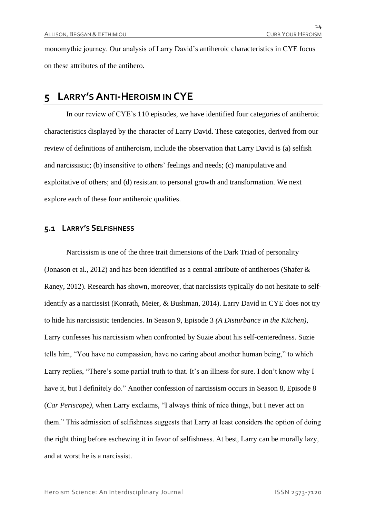monomythic journey. Our analysis of Larry David's antiheroic characteristics in CYE focus on these attributes of the antihero.

## **5 LARRY'S ANTI-HEROISM IN CYE**

In our review of CYE's 110 episodes, we have identified four categories of antiheroic characteristics displayed by the character of Larry David. These categories, derived from our review of definitions of antiheroism, include the observation that Larry David is (a) selfish and narcissistic; (b) insensitive to others' feelings and needs; (c) manipulative and exploitative of others; and (d) resistant to personal growth and transformation. We next explore each of these four antiheroic qualities.

#### **5.1 LARRY'S SELFISHNESS**

Narcissism is one of the three trait dimensions of the Dark Triad of personality (Jonason et al., 2012) and has been identified as a central attribute of antiheroes (Shafer  $\&$ Raney, 2012). Research has shown, moreover, that narcissists typically do not hesitate to selfidentify as a narcissist (Konrath, Meier, & Bushman, 2014). Larry David in CYE does not try to hide his narcissistic tendencies. In Season 9, Episode 3 *(A Disturbance in the Kitchen),* Larry confesses his narcissism when confronted by Suzie about his self-centeredness. Suzie tells him, "You have no compassion, have no caring about another human being," to which Larry replies, "There's some partial truth to that. It's an illness for sure. I don't know why I have it, but I definitely do." Another confession of narcissism occurs in Season 8, Episode 8 (*Car Periscope),* when Larry exclaims, "I always think of nice things, but I never act on them." This admission of selfishness suggests that Larry at least considers the option of doing the right thing before eschewing it in favor of selfishness. At best, Larry can be morally lazy, and at worst he is a narcissist.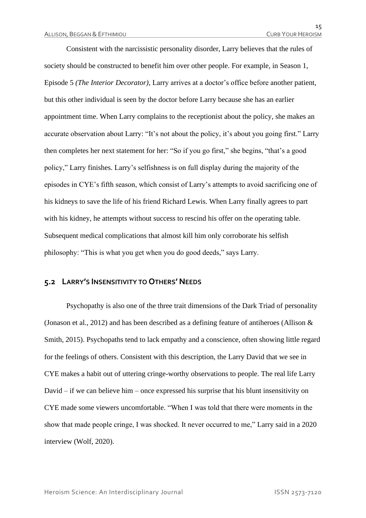Consistent with the narcissistic personality disorder, Larry believes that the rules of society should be constructed to benefit him over other people. For example, in Season 1, Episode 5 *(The Interior Decorator),* Larry arrives at a doctor's office before another patient, but this other individual is seen by the doctor before Larry because she has an earlier appointment time. When Larry complains to the receptionist about the policy, she makes an accurate observation about Larry: "It's not about the policy, it's about you going first." Larry then completes her next statement for her: "So if you go first," she begins, "that's a good policy," Larry finishes. Larry's selfishness is on full display during the majority of the episodes in CYE's fifth season, which consist of Larry's attempts to avoid sacrificing one of his kidneys to save the life of his friend Richard Lewis. When Larry finally agrees to part with his kidney, he attempts without success to rescind his offer on the operating table. Subsequent medical complications that almost kill him only corroborate his selfish philosophy: "This is what you get when you do good deeds," says Larry.

#### **5.2 LARRY'S INSENSITIVITY TO OTHERS' NEEDS**

Psychopathy is also one of the three trait dimensions of the Dark Triad of personality (Jonason et al., 2012) and has been described as a defining feature of antiheroes (Allison  $\&$ Smith, 2015). Psychopaths tend to lack empathy and a conscience, often showing little regard for the feelings of others. Consistent with this description, the Larry David that we see in CYE makes a habit out of uttering cringe-worthy observations to people. The real life Larry David – if we can believe him – once expressed his surprise that his blunt insensitivity on CYE made some viewers uncomfortable. "When I was told that there were moments in the show that made people cringe, I was shocked. It never occurred to me," Larry said in a 2020 interview (Wolf, 2020).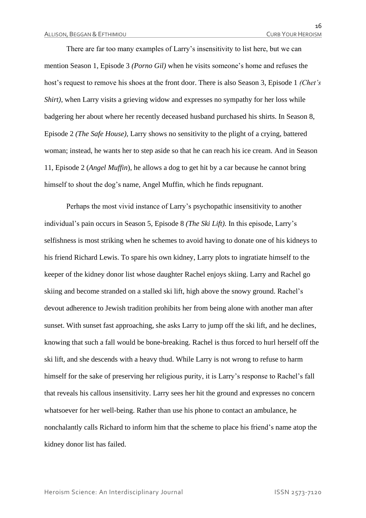There are far too many examples of Larry's insensitivity to list here, but we can mention Season 1, Episode 3 *(Porno Gil)* when he visits someone's home and refuses the host's request to remove his shoes at the front door. There is also Season 3, Episode 1 *(Chet's Shirt*), when Larry visits a grieving widow and expresses no sympathy for her loss while badgering her about where her recently deceased husband purchased his shirts. In Season 8, Episode 2 *(The Safe House),* Larry shows no sensitivity to the plight of a crying, battered woman; instead, he wants her to step aside so that he can reach his ice cream. And in Season 11, Episode 2 (*Angel Muffin*), he allows a dog to get hit by a car because he cannot bring himself to shout the dog's name, Angel Muffin, which he finds repugnant.

Perhaps the most vivid instance of Larry's psychopathic insensitivity to another individual's pain occurs in Season 5, Episode 8 *(The Ski Lift).* In this episode, Larry's selfishness is most striking when he schemes to avoid having to donate one of his kidneys to his friend Richard Lewis. To spare his own kidney, Larry plots to ingratiate himself to the keeper of the kidney donor list whose daughter Rachel enjoys skiing. Larry and Rachel go skiing and become stranded on a stalled ski lift, high above the snowy ground. Rachel's devout adherence to Jewish tradition prohibits her from being alone with another man after sunset. With sunset fast approaching, she asks Larry to jump off the ski lift, and he declines, knowing that such a fall would be bone-breaking. Rachel is thus forced to hurl herself off the ski lift, and she descends with a heavy thud. While Larry is not wrong to refuse to harm himself for the sake of preserving her religious purity, it is Larry's response to Rachel's fall that reveals his callous insensitivity. Larry sees her hit the ground and expresses no concern whatsoever for her well-being. Rather than use his phone to contact an ambulance, he nonchalantly calls Richard to inform him that the scheme to place his friend's name atop the kidney donor list has failed.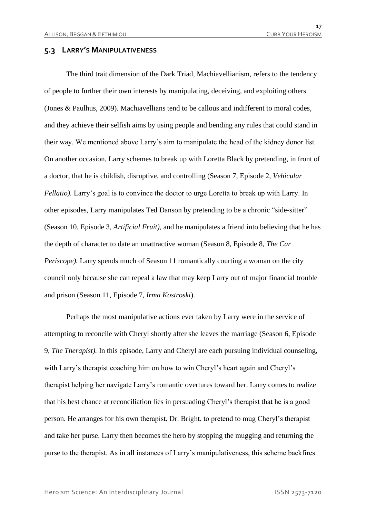#### **5.3 LARRY'S MANIPULATIVENESS**

The third trait dimension of the Dark Triad, Machiavellianism, refers to the tendency of people to further their own interests by manipulating, deceiving, and exploiting others (Jones & Paulhus, 2009). Machiavellians tend to be callous and indifferent to moral codes, and they achieve their selfish aims by using people and bending any rules that could stand in their way. We mentioned above Larry's aim to manipulate the head of the kidney donor list. On another occasion, Larry schemes to break up with Loretta Black by pretending, in front of a doctor, that he is childish, disruptive, and controlling (Season 7, Episode 2, *Vehicular Fellatio*). Larry's goal is to convince the doctor to urge Loretta to break up with Larry. In other episodes, Larry manipulates Ted Danson by pretending to be a chronic "side-sitter" (Season 10, Episode 3, *Artificial Fruit),* and he manipulates a friend into believing that he has the depth of character to date an unattractive woman (Season 8, Episode 8, *The Car Periscope*). Larry spends much of Season 11 romantically courting a woman on the city council only because she can repeal a law that may keep Larry out of major financial trouble and prison (Season 11, Episode 7, *Irma Kostroski*).

Perhaps the most manipulative actions ever taken by Larry were in the service of attempting to reconcile with Cheryl shortly after she leaves the marriage (Season 6, Episode 9, *The Therapist).* In this episode, Larry and Cheryl are each pursuing individual counseling, with Larry's therapist coaching him on how to win Cheryl's heart again and Cheryl's therapist helping her navigate Larry's romantic overtures toward her. Larry comes to realize that his best chance at reconciliation lies in persuading Cheryl's therapist that he is a good person. He arranges for his own therapist, Dr. Bright, to pretend to mug Cheryl's therapist and take her purse. Larry then becomes the hero by stopping the mugging and returning the purse to the therapist. As in all instances of Larry's manipulativeness, this scheme backfires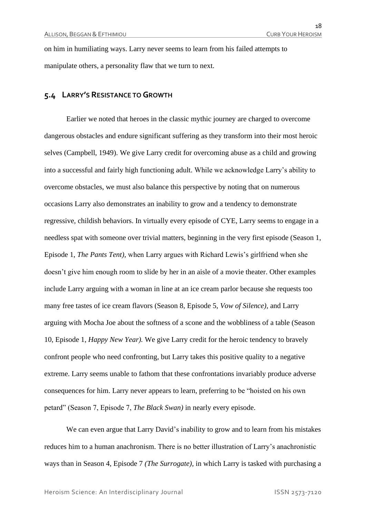on him in humiliating ways. Larry never seems to learn from his failed attempts to manipulate others, a personality flaw that we turn to next.

#### **5.4 LARRY'S RESISTANCE TO GROWTH**

Earlier we noted that heroes in the classic mythic journey are charged to overcome dangerous obstacles and endure significant suffering as they transform into their most heroic selves (Campbell, 1949). We give Larry credit for overcoming abuse as a child and growing into a successful and fairly high functioning adult. While we acknowledge Larry's ability to overcome obstacles, we must also balance this perspective by noting that on numerous occasions Larry also demonstrates an inability to grow and a tendency to demonstrate regressive, childish behaviors. In virtually every episode of CYE, Larry seems to engage in a needless spat with someone over trivial matters, beginning in the very first episode (Season 1, Episode 1, *The Pants Tent),* when Larry argues with Richard Lewis's girlfriend when she doesn't give him enough room to slide by her in an aisle of a movie theater. Other examples include Larry arguing with a woman in line at an ice cream parlor because she requests too many free tastes of ice cream flavors (Season 8, Episode 5, *Vow of Silence),* and Larry arguing with Mocha Joe about the softness of a scone and the wobbliness of a table (Season 10, Episode 1, *Happy New Year).* We give Larry credit for the heroic tendency to bravely confront people who need confronting, but Larry takes this positive quality to a negative extreme. Larry seems unable to fathom that these confrontations invariably produce adverse consequences for him. Larry never appears to learn, preferring to be "hoisted on his own petard" (Season 7, Episode 7, *The Black Swan)* in nearly every episode.

We can even argue that Larry David's inability to grow and to learn from his mistakes reduces him to a human anachronism. There is no better illustration of Larry's anachronistic ways than in Season 4, Episode 7 *(The Surrogate),* in which Larry is tasked with purchasing a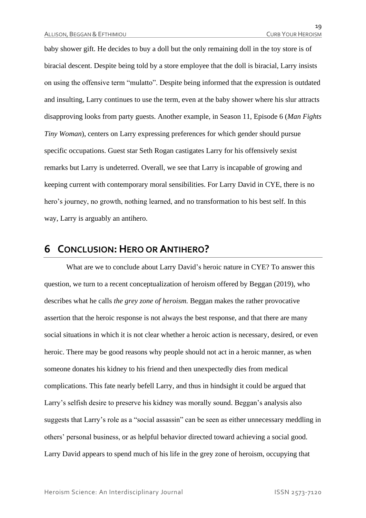baby shower gift. He decides to buy a doll but the only remaining doll in the toy store is of biracial descent. Despite being told by a store employee that the doll is biracial, Larry insists on using the offensive term "mulatto". Despite being informed that the expression is outdated and insulting, Larry continues to use the term, even at the baby shower where his slur attracts disapproving looks from party guests. Another example, in Season 11, Episode 6 (*Man Fights Tiny Woman*), centers on Larry expressing preferences for which gender should pursue specific occupations. Guest star Seth Rogan castigates Larry for his offensively sexist remarks but Larry is undeterred. Overall, we see that Larry is incapable of growing and keeping current with contemporary moral sensibilities. For Larry David in CYE, there is no hero's journey, no growth, nothing learned, and no transformation to his best self. In this way, Larry is arguably an antihero.

## **6 CONCLUSION:HERO OR ANTIHERO?**

What are we to conclude about Larry David's heroic nature in CYE? To answer this question, we turn to a recent conceptualization of heroism offered by Beggan (2019), who describes what he calls *the grey zone of heroism.* Beggan makes the rather provocative assertion that the heroic response is not always the best response, and that there are many social situations in which it is not clear whether a heroic action is necessary, desired, or even heroic. There may be good reasons why people should not act in a heroic manner, as when someone donates his kidney to his friend and then unexpectedly dies from medical complications. This fate nearly befell Larry, and thus in hindsight it could be argued that Larry's selfish desire to preserve his kidney was morally sound. Beggan's analysis also suggests that Larry's role as a "social assassin" can be seen as either unnecessary meddling in others' personal business, or as helpful behavior directed toward achieving a social good. Larry David appears to spend much of his life in the grey zone of heroism, occupying that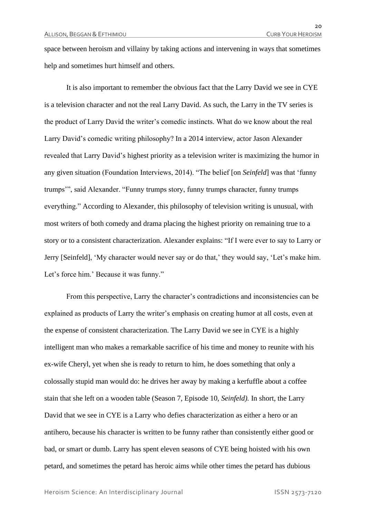space between heroism and villainy by taking actions and intervening in ways that sometimes help and sometimes hurt himself and others.

It is also important to remember the obvious fact that the Larry David we see in CYE is a television character and not the real Larry David. As such, the Larry in the TV series is the product of Larry David the writer's comedic instincts. What do we know about the real Larry David's comedic writing philosophy? In a 2014 interview, actor Jason Alexander revealed that Larry David's highest priority as a television writer is maximizing the humor in any given situation (Foundation Interviews, 2014). "The belief [on *Seinfeld*] was that 'funny trumps'", said Alexander. "Funny trumps story, funny trumps character, funny trumps everything." According to Alexander, this philosophy of television writing is unusual, with most writers of both comedy and drama placing the highest priority on remaining true to a story or to a consistent characterization. Alexander explains: "If I were ever to say to Larry or Jerry [Seinfeld], 'My character would never say or do that,' they would say, 'Let's make him. Let's force him.' Because it was funny."

From this perspective, Larry the character's contradictions and inconsistencies can be explained as products of Larry the writer's emphasis on creating humor at all costs, even at the expense of consistent characterization. The Larry David we see in CYE is a highly intelligent man who makes a remarkable sacrifice of his time and money to reunite with his ex-wife Cheryl, yet when she is ready to return to him, he does something that only a colossally stupid man would do: he drives her away by making a kerfuffle about a coffee stain that she left on a wooden table (Season 7, Episode 10, *Seinfeld).* In short, the Larry David that we see in CYE is a Larry who defies characterization as either a hero or an antihero, because his character is written to be funny rather than consistently either good or bad, or smart or dumb. Larry has spent eleven seasons of CYE being hoisted with his own petard, and sometimes the petard has heroic aims while other times the petard has dubious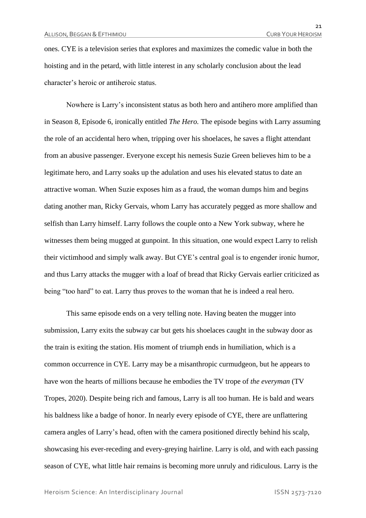ones. CYE is a television series that explores and maximizes the comedic value in both the hoisting and in the petard, with little interest in any scholarly conclusion about the lead character's heroic or antiheroic status.

Nowhere is Larry's inconsistent status as both hero and antihero more amplified than in Season 8, Episode 6, ironically entitled *The Hero.* The episode begins with Larry assuming the role of an accidental hero when, tripping over his shoelaces, he saves a flight attendant from an abusive passenger. Everyone except his nemesis Suzie Green believes him to be a legitimate hero, and Larry soaks up the adulation and uses his elevated status to date an attractive woman. When Suzie exposes him as a fraud, the woman dumps him and begins dating another man, Ricky Gervais, whom Larry has accurately pegged as more shallow and selfish than Larry himself. Larry follows the couple onto a New York subway, where he witnesses them being mugged at gunpoint. In this situation, one would expect Larry to relish their victimhood and simply walk away. But CYE's central goal is to engender ironic humor, and thus Larry attacks the mugger with a loaf of bread that Ricky Gervais earlier criticized as being "too hard" to eat. Larry thus proves to the woman that he is indeed a real hero.

This same episode ends on a very telling note. Having beaten the mugger into submission, Larry exits the subway car but gets his shoelaces caught in the subway door as the train is exiting the station. His moment of triumph ends in humiliation, which is a common occurrence in CYE. Larry may be a misanthropic curmudgeon, but he appears to have won the hearts of millions because he embodies the TV trope of *the everyman* (TV Tropes, 2020). Despite being rich and famous, Larry is all too human. He is bald and wears his baldness like a badge of honor. In nearly every episode of CYE, there are unflattering camera angles of Larry's head, often with the camera positioned directly behind his scalp, showcasing his ever-receding and every-greying hairline. Larry is old, and with each passing season of CYE, what little hair remains is becoming more unruly and ridiculous. Larry is the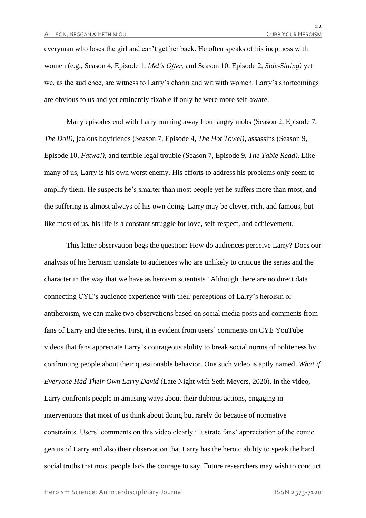everyman who loses the girl and can't get her back. He often speaks of his ineptness with women (e.g., Season 4, Episode 1, *Mel's Offer,* and Season 10, Episode 2, *Side-Sitting)* yet we, as the audience, are witness to Larry's charm and wit with women. Larry's shortcomings are obvious to us and yet eminently fixable if only he were more self-aware.

Many episodes end with Larry running away from angry mobs (Season 2, Episode 7, *The Doll)*, jealous boyfriends (Season 7, Episode 4, *The Hot Towel),* assassins (Season 9, Episode 10, *Fatwa!)*, and terrible legal trouble (Season 7, Episode 9, *The Table Read).* Like many of us, Larry is his own worst enemy. His efforts to address his problems only seem to amplify them. He suspects he's smarter than most people yet he suffers more than most, and the suffering is almost always of his own doing. Larry may be clever, rich, and famous, but like most of us, his life is a constant struggle for love, self-respect, and achievement.

This latter observation begs the question: How do audiences perceive Larry? Does our analysis of his heroism translate to audiences who are unlikely to critique the series and the character in the way that we have as heroism scientists? Although there are no direct data connecting CYE's audience experience with their perceptions of Larry's heroism or antiheroism, we can make two observations based on social media posts and comments from fans of Larry and the series. First, it is evident from users' comments on CYE YouTube videos that fans appreciate Larry's courageous ability to break social norms of politeness by confronting people about their questionable behavior. One such video is aptly named, *What if Everyone Had Their Own Larry David* (Late Night with Seth Meyers, 2020). In the video, Larry confronts people in amusing ways about their dubious actions, engaging in interventions that most of us think about doing but rarely do because of normative constraints. Users' comments on this video clearly illustrate fans' appreciation of the comic genius of Larry and also their observation that Larry has the heroic ability to speak the hard social truths that most people lack the courage to say. Future researchers may wish to conduct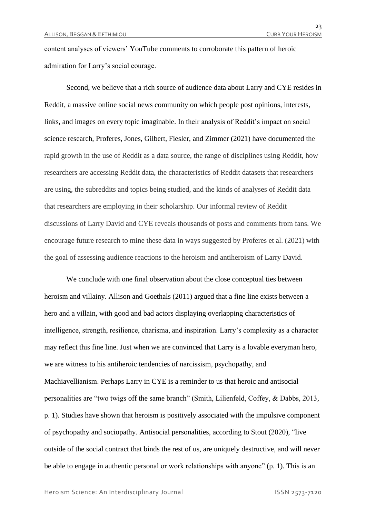content analyses of viewers' YouTube comments to corroborate this pattern of heroic admiration for Larry's social courage.

Second, we believe that a rich source of audience data about Larry and CYE resides in Reddit, a massive online social news community on which people post opinions, interests, links, and images on every topic imaginable. In their analysis of Reddit's impact on social science research, Proferes, Jones, Gilbert, Fiesler, and Zimmer (2021) have documented the rapid growth in the use of Reddit as a data source, the range of disciplines using Reddit, how researchers are accessing Reddit data, the characteristics of Reddit datasets that researchers are using, the subreddits and topics being studied, and the kinds of analyses of Reddit data that researchers are employing in their scholarship. Our informal review of Reddit discussions of Larry David and CYE reveals thousands of posts and comments from fans. We encourage future research to mine these data in ways suggested by Proferes et al. (2021) with the goal of assessing audience reactions to the heroism and antiheroism of Larry David.

We conclude with one final observation about the close conceptual ties between heroism and villainy. Allison and Goethals (2011) argued that a fine line exists between a hero and a villain, with good and bad actors displaying overlapping characteristics of intelligence, strength, resilience, charisma, and inspiration. Larry's complexity as a character may reflect this fine line. Just when we are convinced that Larry is a lovable everyman hero, we are witness to his antiheroic tendencies of narcissism, psychopathy, and Machiavellianism. Perhaps Larry in CYE is a reminder to us that heroic and antisocial personalities are "two twigs off the same branch" (Smith, Lilienfeld, Coffey, & Dabbs, 2013, p. 1). Studies have shown that heroism is positively associated with the impulsive component of psychopathy and sociopathy. Antisocial personalities, according to Stout (2020), "live outside of the social contract that binds the rest of us, are uniquely destructive, and will never be able to engage in authentic personal or work relationships with anyone" (p. 1). This is an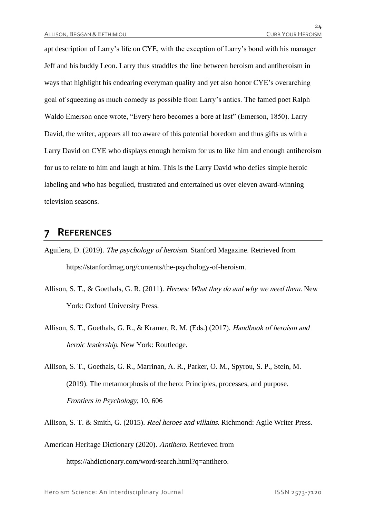apt description of Larry's life on CYE, with the exception of Larry's bond with his manager Jeff and his buddy Leon. Larry thus straddles the line between heroism and antiheroism in ways that highlight his endearing everyman quality and yet also honor CYE's overarching goal of squeezing as much comedy as possible from Larry's antics. The famed poet Ralph Waldo Emerson once wrote, "Every hero becomes a bore at last" (Emerson, 1850). Larry David, the writer, appears all too aware of this potential boredom and thus gifts us with a Larry David on CYE who displays enough heroism for us to like him and enough antiheroism for us to relate to him and laugh at him. This is the Larry David who defies simple heroic labeling and who has beguiled, frustrated and entertained us over eleven award-winning television seasons.

## **7 REFERENCES**

- Aguilera, D. (2019). The psychology of heroism. Stanford Magazine. Retrieved from https://stanfordmag.org/contents/the-psychology-of-heroism.
- Allison, S. T., & Goethals, G. R. (2011). Heroes: What they do and why we need them. New York: Oxford University Press.
- Allison, S. T., Goethals, G. R., & Kramer, R. M. (Eds.) (2017). Handbook of heroism and heroic leadership. New York: Routledge.
- Allison, S. T., Goethals, G. R., Marrinan, A. R., Parker, O. M., Spyrou, S. P., Stein, M. (2019). The metamorphosis of the hero: Principles, processes, and purpose. Frontiers in Psychology, 10, 606
- Allison, S. T. & Smith, G. (2015). Reel heroes and villains. Richmond: Agile Writer Press.

American Heritage Dictionary (2020). Antihero. Retrieved from https://ahdictionary.com/word/search.html?q=antihero.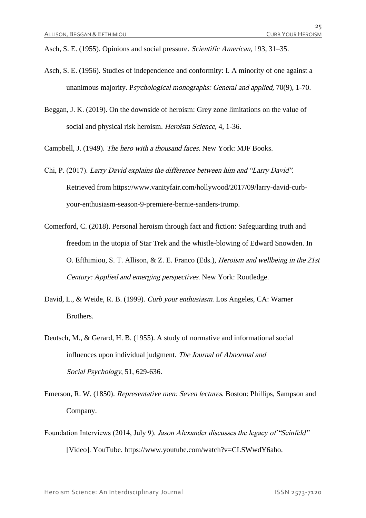Asch, S. E. (1955). Opinions and social pressure. Scientific American, 193, 31–35.

- Asch, S. E. (1956). Studies of independence and conformity: I. A minority of one against a unanimous majority. Psychological monographs: General and applied, 70(9), 1-70.
- Beggan, J. K. (2019). On the downside of heroism: Grey zone limitations on the value of social and physical risk heroism. *Heroism Science*, 4, 1-36.

Campbell, J. (1949). The hero with a thousand faces. New York: MJF Books.

- Chi, P. (2017). Larry David explains the difference between him and "Larry David". Retrieved from https://www.vanityfair.com/hollywood/2017/09/larry-david-curbyour-enthusiasm-season-9-premiere-bernie-sanders-trump.
- Comerford, C. (2018). Personal heroism through fact and fiction: Safeguarding truth and freedom in the utopia of Star Trek and the whistle-blowing of Edward Snowden. In O. Efthimiou, S. T. Allison, & Z. E. Franco (Eds.), Heroism and wellbeing in the 21st Century: Applied and emerging perspectives. New York: Routledge.
- David, L., & Weide, R. B. (1999). Curb your enthusiasm. Los Angeles, CA: Warner **Brothers**
- Deutsch, M., & Gerard, H. B. (1955). A study of normative and informational social influences upon individual judgment. The Journal of Abnormal and Social Psychology, 51, 629-636.
- Emerson, R. W. (1850). Representative men: Seven lectures. Boston: Phillips, Sampson and Company.
- Foundation Interviews (2014, July 9). Jason Alexander discusses the legacy of "Seinfeld" [Video]. YouTube. https://www.youtube.com/watch?v=CLSWwdY6aho.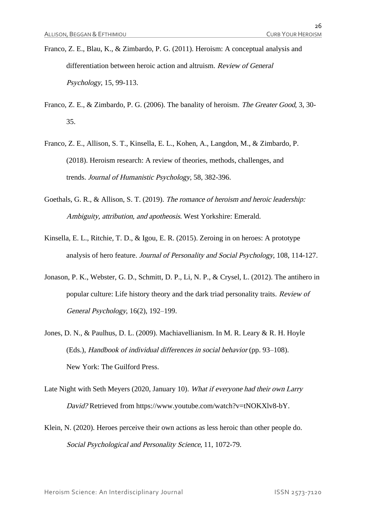- Franco, Z. E., Blau, K., & Zimbardo, P. G. (2011). Heroism: A conceptual analysis and differentiation between heroic action and altruism. Review of General Psychology, 15, 99-113.
- Franco, Z. E., & Zimbardo, P. G. (2006). The banality of heroism. The Greater Good, 3, 30-35.
- Franco, Z. E., Allison, S. T., Kinsella, E. L., Kohen, A., Langdon, M., & Zimbardo, P. (2018). Heroism research: A review of theories, methods, challenges, and trends. Journal of Humanistic Psychology, 58, 382-396.
- Goethals, G. R., & Allison, S. T. (2019). The romance of heroism and heroic leadership: Ambiguity, attribution, and apotheosis. West Yorkshire: Emerald.
- Kinsella, E. L., Ritchie, T. D., & Igou, E. R. (2015). Zeroing in on heroes: A prototype analysis of hero feature. Journal of Personality and Social Psychology, 108, 114-127.
- Jonason, P. K., Webster, G. D., Schmitt, D. P., Li, N. P., & Crysel, L. (2012). The antihero in popular culture: Life history theory and the dark triad personality traits. Review of General Psychology, 16(2), 192–199.
- Jones, D. N., & Paulhus, D. L. (2009). Machiavellianism. In M. R. Leary & R. H. Hoyle (Eds.), Handbook of individual differences in social behavior (pp. 93–108). New York: The Guilford Press.
- Late Night with Seth Meyers (2020, January 10). What if everyone had their own Larry David? Retrieved from https://www.youtube.com/watch?v=tNOKXlv8-bY.
- Klein, N. (2020). Heroes perceive their own actions as less heroic than other people do. Social Psychological and Personality Science, 11, 1072-79.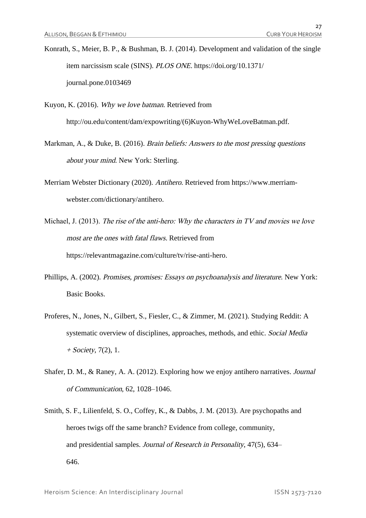Konrath, S., Meier, B. P., & Bushman, B. J. (2014). Development and validation of the single item narcissism scale (SINS). PLOS ONE. https://doi.org/10.1371/ journal.pone.0103469

Kuyon, K. (2016). Why we love batman. Retrieved from http://ou.edu/content/dam/expowriting/(6)Kuyon-WhyWeLoveBatman.pdf.

- Markman, A., & Duke, B. (2016). Brain beliefs: Answers to the most pressing questions about your mind. New York: Sterling.
- Merriam Webster Dictionary (2020). Antihero. Retrieved from https://www.merriamwebster.com/dictionary/antihero.
- Michael, J. (2013). The rise of the anti-hero: Why the characters in TV and movies we love most are the ones with fatal flaws. Retrieved from https://relevantmagazine.com/culture/tv/rise-anti-hero.
- Phillips, A. (2002). Promises, promises: Essays on psychoanalysis and literature. New York: Basic Books.
- Proferes, N., Jones, N., Gilbert, S., Fiesler, C., & Zimmer, M. (2021). Studying Reddit: A systematic overview of disciplines, approaches, methods, and ethic. Social Media  $+$  Society, 7(2), 1.
- Shafer, D. M., & Raney, A. A. (2012). Exploring how we enjoy antihero narratives. Journal of Communication, 62, 1028–1046.
- Smith, S. F., Lilienfeld, S. O., Coffey, K., & Dabbs, J. M. (2013). Are psychopaths and heroes twigs off the same branch? Evidence from college, community, and presidential samples. Journal of Research in Personality, 47(5), 634– 646.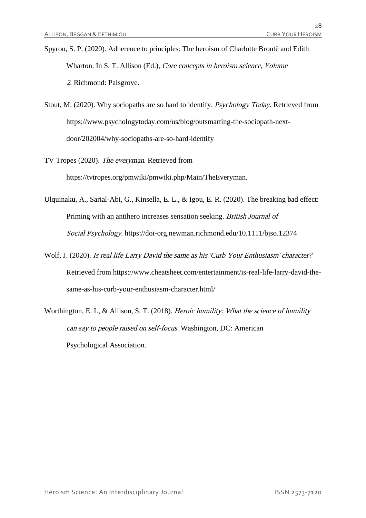- Spyrou, S. P. (2020). Adherence to principles: The heroism of Charlotte Brontë and Edith Wharton. In S. T. Allison (Ed.), Core concepts in heroism science, *V*olume <sup>2</sup>. Richmond: Palsgrove.
- Stout, M. (2020). Why sociopaths are so hard to identify. Psychology Today. Retrieved from https://www.psychologytoday.com/us/blog/outsmarting-the-sociopath-nextdoor/202004/why-sociopaths-are-so-hard-identify
- TV Tropes (2020). The everyman. Retrieved from https://tvtropes.org/pmwiki/pmwiki.php/Main/TheEveryman.
- Ulquinaku, A., Sarial-Abi, G., Kinsella, E. L., & Igou, E. R. (2020). The breaking bad effect: Priming with an antihero increases sensation seeking. British Journal of Social Psychology. https://doi-org.newman.richmond.edu/10.1111/bjso.12374
- Wolf, J. (2020). Is real life Larry David the same as his 'Curb Your Enthusiasm' character? Retrieved from https://www.cheatsheet.com/entertainment/is-real-life-larry-david-thesame-as-his-curb-your-enthusiasm-character.html/
- Worthington, E. L, & Allison, S. T. (2018). Heroic humility: What the science of humility can say to people raised on self-focus. Washington, DC: American Psychological Association.